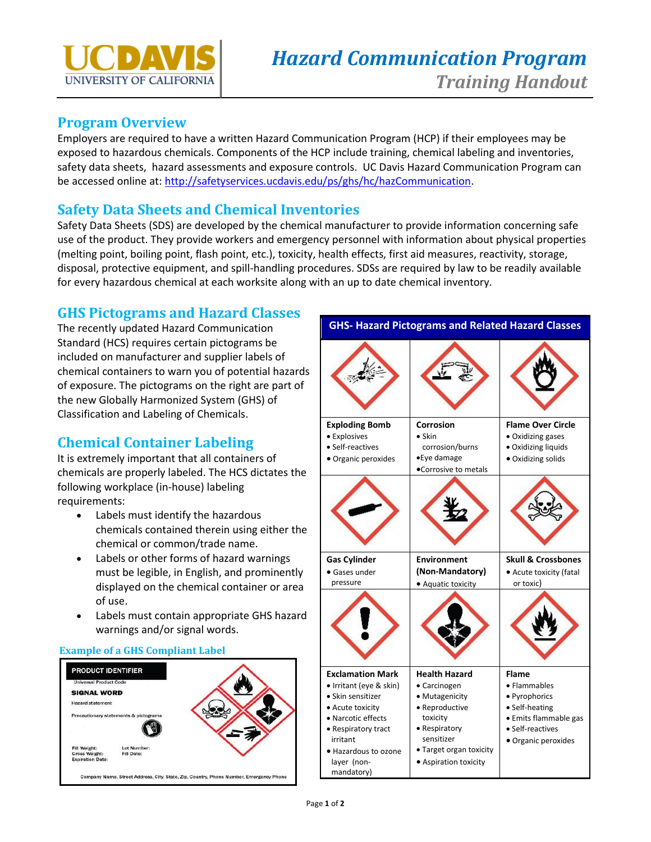

#### **Program Overview**

Employers are required to have a written Hazard Communication Program (HCP) if their employees may be exposed to hazardous chemicals. Components of the HCP include training, chemical labeling and inventories, safety data sheets, hazard assessments and exposure controls. UC Davis Hazard Communication Program can be accessed online at: [http://safetyservices.ucdavis.edu/ps/ghs/hc/hazCommunication.](http://safetyservices.ucdavis.edu/ps/ghs/hc/hazCommunication)

# **Safety Data Sheets and Chemical Inventories**

Safety Data Sheets (SDS) are developed by the chemical manufacturer to provide information concerning safe use of the product. They provide workers and emergency personnel with information about physical properties (melting point, boiling point, flash point, etc.), toxicity, health effects, first aid measures, reactivity, storage, disposal, protective equipment, and spill-handling procedures. SDSs are required by law to be readily available for every hazardous chemical at each worksite along with an up to date chemical inventory.

# **GHS Pictograms and Hazard Classes**

The recently updated Hazard Communication Standard (HCS) requires certain pictograms be included on manufacturer and supplier labels of chemical containers to warn you of potential hazards of exposure. The pictograms on the right are part of the new Globally Harmonized System (GHS) of Classification and Labeling of Chemicals.

# **Chemical Container Labeling**

It is extremely important that all containers of chemicals are properly labeled. The HCS dictates the following workplace (in-house) labeling requirements:

- Labels must identify the hazardous chemicals contained therein using either the chemical or common/trade name.
- Labels or other forms of hazard warnings must be legible, in English, and prominently displayed on the chemical container or area of use.
- Labels must contain appropriate GHS hazard warnings and/or signal words.

#### **Example of a GHS Compliant Label**



**GHS- Hazard Pictograms and Related Hazard Classes Exploding Bomb •** Explosives Self-reactives Organic peroxides **Corrosion**  Skin corrosion/burns Eye damage Corrosive to metals **Flame Over Circle**  Oxidizing gases Oxidizing liquids Oxidizing solids **Gas Cylinder** Gases under pressure **Environment (Non-Mandatory)** Aquatic toxicity **Skull & Crossbones**  Acute toxicity (fatal or toxic) **Exclamation Mark** • Irritant (eye & skin) • Skin sensitizer Acute toxicity Narcotic effects • Respiratory tract irritant Hazardous to ozone layer (nonmandatory) **Health Hazard**  Carcinogen • Mutagenicity Reproductive toxicity • Respiratory sensitizer Target organ toxicity Aspiration toxicity **Flame**  Flammables • Pyrophorics • Self-heating Emits flammable gas • Self-reactives Organic peroxides